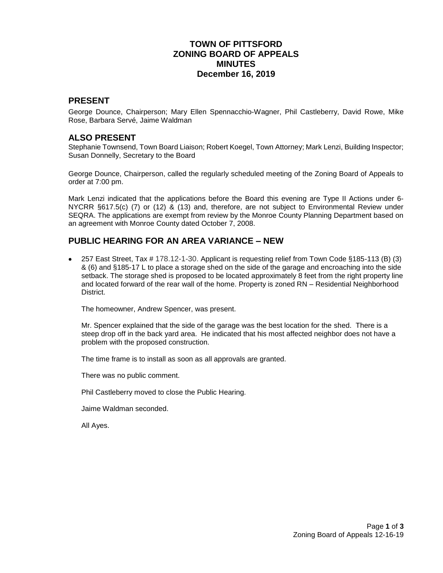# **TOWN OF PITTSFORD ZONING BOARD OF APPEALS MINUTES December 16, 2019**

### **PRESENT**

George Dounce, Chairperson; Mary Ellen Spennacchio-Wagner, Phil Castleberry, David Rowe, Mike Rose, Barbara Servé, Jaime Waldman

#### **ALSO PRESENT**

Stephanie Townsend, Town Board Liaison; Robert Koegel, Town Attorney; Mark Lenzi, Building Inspector; Susan Donnelly, Secretary to the Board

George Dounce, Chairperson, called the regularly scheduled meeting of the Zoning Board of Appeals to order at 7:00 pm.

Mark Lenzi indicated that the applications before the Board this evening are Type II Actions under 6- NYCRR §617.5(c) (7) or (12) & (13) and, therefore, are not subject to Environmental Review under SEQRA. The applications are exempt from review by the Monroe County Planning Department based on an agreement with Monroe County dated October 7, 2008.

### **PUBLIC HEARING FOR AN AREA VARIANCE – NEW**

 257 East Street, Tax # 178.12-1-30. Applicant is requesting relief from Town Code §185-113 (B) (3) & (6) and §185-17 L to place a storage shed on the side of the garage and encroaching into the side setback. The storage shed is proposed to be located approximately 8 feet from the right property line and located forward of the rear wall of the home. Property is zoned RN – Residential Neighborhood **District** 

The homeowner, Andrew Spencer, was present.

Mr. Spencer explained that the side of the garage was the best location for the shed. There is a steep drop off in the back yard area. He indicated that his most affected neighbor does not have a problem with the proposed construction.

The time frame is to install as soon as all approvals are granted.

There was no public comment.

Phil Castleberry moved to close the Public Hearing.

Jaime Waldman seconded.

All Ayes.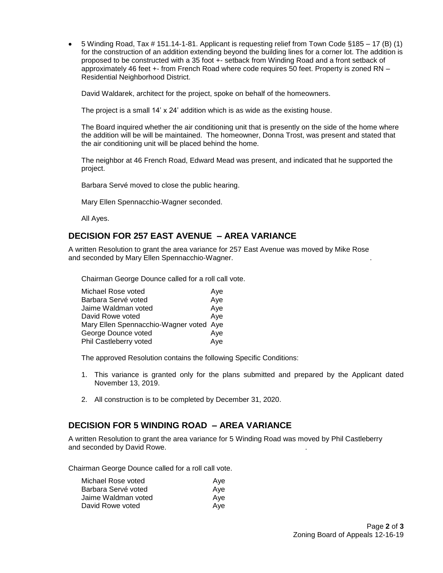$\bullet$  5 Winding Road, Tax # 151.14-1-81. Applicant is requesting relief from Town Code §185 – 17 (B) (1) for the construction of an addition extending beyond the building lines for a corner lot. The addition is proposed to be constructed with a 35 foot +- setback from Winding Road and a front setback of approximately 46 feet +- from French Road where code requires 50 feet. Property is zoned RN – Residential Neighborhood District.

David Waldarek, architect for the project, spoke on behalf of the homeowners.

The project is a small 14' x 24' addition which is as wide as the existing house.

The Board inquired whether the air conditioning unit that is presently on the side of the home where the addition will be will be maintained. The homeowner, Donna Trost, was present and stated that the air conditioning unit will be placed behind the home.

The neighbor at 46 French Road, Edward Mead was present, and indicated that he supported the project.

Barbara Servé moved to close the public hearing.

Mary Ellen Spennacchio-Wagner seconded.

All Ayes.

### **DECISION FOR 257 EAST AVENUE – AREA VARIANCE**

A written Resolution to grant the area variance for 257 East Avenue was moved by Mike Rose and seconded by Mary Ellen Spennacchio-Wagner. .

Chairman George Dounce called for a roll call vote.

| Michael Rose voted                      | Aye |
|-----------------------------------------|-----|
| Barbara Servé voted                     | Aye |
| Jaime Waldman voted                     | Aye |
| David Rowe voted                        | Aye |
| Mary Ellen Spennacchio-Wagner voted Aye |     |
| George Dounce voted                     | Aye |
| Phil Castleberry voted                  | Aye |
|                                         |     |

The approved Resolution contains the following Specific Conditions:

- 1. This variance is granted only for the plans submitted and prepared by the Applicant dated November 13, 2019.
- 2. All construction is to be completed by December 31, 2020.

### **DECISION FOR 5 WINDING ROAD – AREA VARIANCE**

A written Resolution to grant the area variance for 5 Winding Road was moved by Phil Castleberry and seconded by David Rowe. .

Chairman George Dounce called for a roll call vote.

| Michael Rose voted  | Ave |
|---------------------|-----|
| Barbara Servé voted | Ave |
| Jaime Waldman voted | Ave |
| David Rowe voted    | Ave |